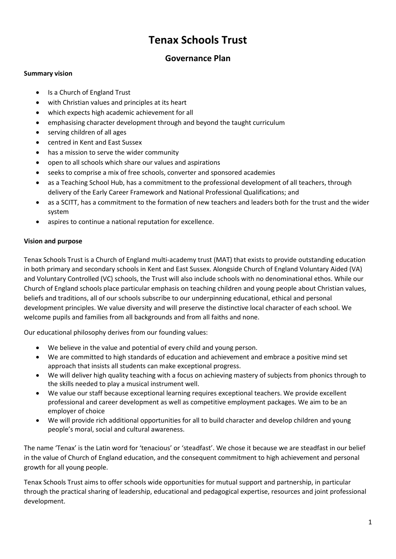# **Tenax Schools Trust**

# **Governance Plan**

## **Summary vision**

- Is a Church of England Trust
- with Christian values and principles at its heart
- which expects high academic achievement for all
- emphasising character development through and beyond the taught curriculum
- serving children of all ages
- centred in Kent and East Sussex
- has a mission to serve the wider community
- open to all schools which share our values and aspirations
- seeks to comprise a mix of free schools, converter and sponsored academies
- as a Teaching School Hub, has a commitment to the professional development of all teachers, through delivery of the Early Career Framework and National Professional Qualifications; and
- as a SCITT, has a commitment to the formation of new teachers and leaders both for the trust and the wider system
- aspires to continue a national reputation for excellence.

## **Vision and purpose**

Tenax Schools Trust is a Church of England multi-academy trust (MAT) that exists to provide outstanding education in both primary and secondary schools in Kent and East Sussex. Alongside Church of England Voluntary Aided (VA) and Voluntary Controlled (VC) schools, the Trust will also include schools with no denominational ethos. While our Church of England schools place particular emphasis on teaching children and young people about Christian values, beliefs and traditions, all of our schools subscribe to our underpinning educational, ethical and personal development principles. We value diversity and will preserve the distinctive local character of each school. We welcome pupils and families from all backgrounds and from all faiths and none.

Our educational philosophy derives from our founding values:

- We believe in the value and potential of every child and young person.
- We are committed to high standards of education and achievement and embrace a positive mind set approach that insists all students can make exceptional progress.
- We will deliver high quality teaching with a focus on achieving mastery of subjects from phonics through to the skills needed to play a musical instrument well.
- We value our staff because exceptional learning requires exceptional teachers. We provide excellent professional and career development as well as competitive employment packages. We aim to be an employer of choice
- We will provide rich additional opportunities for all to build character and develop children and young people's moral, social and cultural awareness.

The name 'Tenax' is the Latin word for 'tenacious' or 'steadfast'. We chose it because we are steadfast in our belief in the value of Church of England education, and the consequent commitment to high achievement and personal growth for all young people.

Tenax Schools Trust aims to offer schools wide opportunities for mutual support and partnership, in particular through the practical sharing of leadership, educational and pedagogical expertise, resources and joint professional development.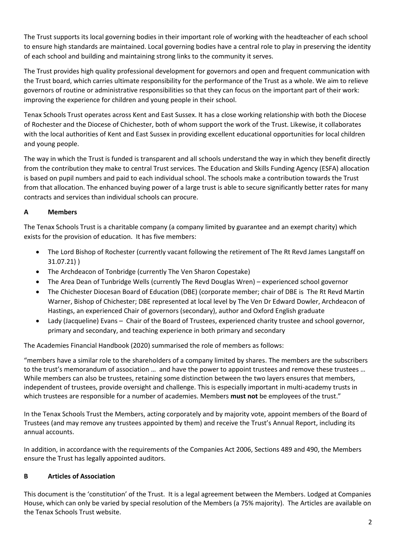The Trust supports its local governing bodies in their important role of working with the headteacher of each school to ensure high standards are maintained. Local governing bodies have a central role to play in preserving the identity of each school and building and maintaining strong links to the community it serves.

The Trust provides high quality professional development for governors and open and frequent communication with the Trust board, which carries ultimate responsibility for the performance of the Trust as a whole. We aim to relieve governors of routine or administrative responsibilities so that they can focus on the important part of their work: improving the experience for children and young people in their school.

Tenax Schools Trust operates across Kent and East Sussex. It has a close working relationship with both the Diocese of Rochester and the Diocese of Chichester, both of whom support the work of the Trust. Likewise, it collaborates with the local authorities of Kent and East Sussex in providing excellent educational opportunities for local children and young people.

The way in which the Trust is funded is transparent and all schools understand the way in which they benefit directly from the contribution they make to central Trust services. The Education and Skills Funding Agency (ESFA) allocation is based on pupil numbers and paid to each individual school. The schools make a contribution towards the Trust from that allocation. The enhanced buying power of a large trust is able to secure significantly better rates for many contracts and services than individual schools can procure.

## **A Members**

The Tenax Schools Trust is a charitable company (a company limited by guarantee and an exempt charity) which exists for the provision of education. It has five members:

- The Lord Bishop of Rochester (currently vacant following the retirement of The Rt Revd James Langstaff on 31.07.21) )
- The Archdeacon of Tonbridge (currently The Ven Sharon Copestake)
- The Area Dean of Tunbridge Wells (currently The Revd Douglas Wren) experienced school governor
- The Chichester Diocesan Board of Education (DBE) (corporate member; chair of DBE is The Rt Revd Martin Warner, Bishop of Chichester; DBE represented at local level by The Ven Dr Edward Dowler, Archdeacon of Hastings, an experienced Chair of governors (secondary), author and Oxford English graduate
- Lady (Jacqueline) Evans Chair of the Board of Trustees, experienced charity trustee and school governor, primary and secondary, and teaching experience in both primary and secondary

The Academies Financial Handbook (2020) summarised the role of members as follows:

"members have a similar role to the shareholders of a company limited by shares. The members are the subscribers to the trust's memorandum of association … and have the power to appoint trustees and remove these trustees … While members can also be trustees, retaining some distinction between the two layers ensures that members, independent of trustees, provide oversight and challenge. This is especially important in multi-academy trusts in which trustees are responsible for a number of academies. Members **must not** be employees of the trust."

In the Tenax Schools Trust the Members, acting corporately and by majority vote, appoint members of the Board of Trustees (and may remove any trustees appointed by them) and receive the Trust's Annual Report, including its annual accounts.

In addition, in accordance with the requirements of the Companies Act 2006, Sections 489 and 490, the Members ensure the Trust has legally appointed auditors.

## **B Articles of Association**

This document is the 'constitution' of the Trust. It is a legal agreement between the Members. Lodged at Companies House, which can only be varied by special resolution of the Members (a 75% majority). The Articles are available on the Tenax Schools Trust website.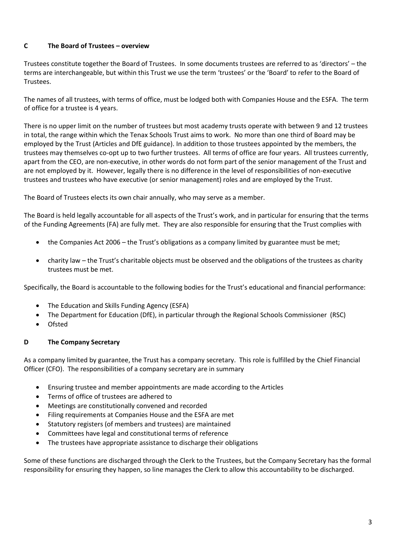### **C The Board of Trustees – overview**

Trustees constitute together the Board of Trustees. In some documents trustees are referred to as 'directors' – the terms are interchangeable, but within this Trust we use the term 'trustees' or the 'Board' to refer to the Board of Trustees.

The names of all trustees, with terms of office, must be lodged both with Companies House and the ESFA. The term of office for a trustee is 4 years.

There is no upper limit on the number of trustees but most academy trusts operate with between 9 and 12 trustees in total, the range within which the Tenax Schools Trust aims to work. No more than one third of Board may be employed by the Trust (Articles and DfE guidance). In addition to those trustees appointed by the members, the trustees may themselves co-opt up to two further trustees. All terms of office are four years. All trustees currently, apart from the CEO, are non-executive, in other words do not form part of the senior management of the Trust and are not employed by it. However, legally there is no difference in the level of responsibilities of non-executive trustees and trustees who have executive (or senior management) roles and are employed by the Trust.

The Board of Trustees elects its own chair annually, who may serve as a member.

The Board is held legally accountable for all aspects of the Trust's work, and in particular for ensuring that the terms of the Funding Agreements (FA) are fully met. They are also responsible for ensuring that the Trust complies with

- the Companies Act 2006 the Trust's obligations as a company limited by guarantee must be met;
- charity law the Trust's charitable objects must be observed and the obligations of the trustees as charity trustees must be met.

Specifically, the Board is accountable to the following bodies for the Trust's educational and financial performance:

- The Education and Skills Funding Agency (ESFA)
- The Department for Education (DfE), in particular through the Regional Schools Commissioner (RSC)
- Ofsted

#### **D The Company Secretary**

As a company limited by guarantee, the Trust has a company secretary. This role is fulfilled by the Chief Financial Officer (CFO). The responsibilities of a company secretary are in summary

- Ensuring trustee and member appointments are made according to the Articles
- Terms of office of trustees are adhered to
- Meetings are constitutionally convened and recorded
- Filing requirements at Companies House and the ESFA are met
- Statutory registers (of members and trustees) are maintained
- Committees have legal and constitutional terms of reference
- The trustees have appropriate assistance to discharge their obligations

Some of these functions are discharged through the Clerk to the Trustees, but the Company Secretary has the formal responsibility for ensuring they happen, so line manages the Clerk to allow this accountability to be discharged.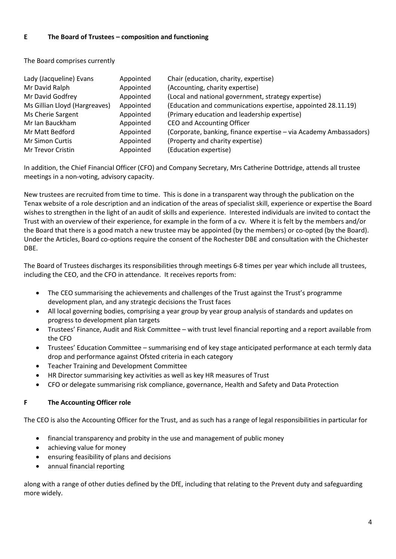#### **E The Board of Trustees – composition and functioning**

The Board comprises currently

| Lady (Jacqueline) Evans       | Appointed | Chair (education, charity, expertise)                             |
|-------------------------------|-----------|-------------------------------------------------------------------|
| Mr David Ralph                | Appointed | (Accounting, charity expertise)                                   |
| Mr David Godfrey              | Appointed | (Local and national government, strategy expertise)               |
| Ms Gillian Lloyd (Hargreaves) | Appointed | (Education and communications expertise, appointed 28.11.19)      |
| Ms Cherie Sargent             | Appointed | (Primary education and leadership expertise)                      |
| Mr Ian Bauckham               | Appointed | CEO and Accounting Officer                                        |
| Mr Matt Bedford               | Appointed | (Corporate, banking, finance expertise - via Academy Ambassadors) |
| <b>Mr Simon Curtis</b>        | Appointed | (Property and charity expertise)                                  |
| Mr Trevor Cristin             | Appointed | (Education expertise)                                             |

In addition, the Chief Financial Officer (CFO) and Company Secretary, Mrs Catherine Dottridge, attends all trustee meetings in a non-voting, advisory capacity.

New trustees are recruited from time to time. This is done in a transparent way through the publication on the Tenax website of a role description and an indication of the areas of specialist skill, experience or expertise the Board wishes to strengthen in the light of an audit of skills and experience. Interested individuals are invited to contact the Trust with an overview of their experience, for example in the form of a cv. Where it is felt by the members and/or the Board that there is a good match a new trustee may be appointed (by the members) or co-opted (by the Board). Under the Articles, Board co-options require the consent of the Rochester DBE and consultation with the Chichester DBE.

The Board of Trustees discharges its responsibilities through meetings 6-8 times per year which include all trustees, including the CEO, and the CFO in attendance. It receives reports from:

- The CEO summarising the achievements and challenges of the Trust against the Trust's programme development plan, and any strategic decisions the Trust faces
- All local governing bodies, comprising a year group by year group analysis of standards and updates on progress to development plan targets
- Trustees' Finance, Audit and Risk Committee with trust level financial reporting and a report available from the CFO
- Trustees' Education Committee summarising end of key stage anticipated performance at each termly data drop and performance against Ofsted criteria in each category
- Teacher Training and Development Committee
- HR Director summarising key activities as well as key HR measures of Trust
- CFO or delegate summarising risk compliance, governance, Health and Safety and Data Protection

#### **F The Accounting Officer role**

The CEO is also the Accounting Officer for the Trust, and as such has a range of legal responsibilities in particular for

- financial transparency and probity in the use and management of public money
- achieving value for money
- ensuring feasibility of plans and decisions
- annual financial reporting

along with a range of other duties defined by the DfE, including that relating to the Prevent duty and safeguarding more widely.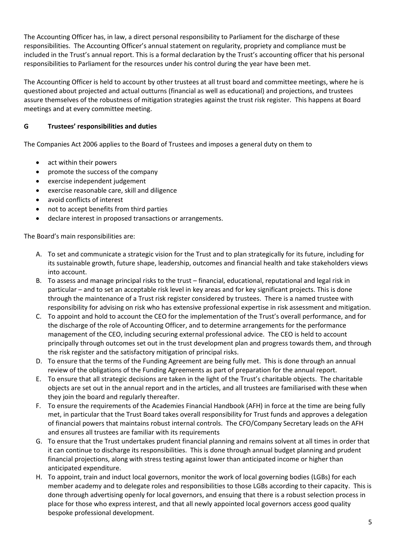The Accounting Officer has, in law, a direct personal responsibility to Parliament for the discharge of these responsibilities. The Accounting Officer's annual statement on regularity, propriety and compliance must be included in the Trust's annual report. This is a formal declaration by the Trust's accounting officer that his personal responsibilities to Parliament for the resources under his control during the year have been met.

The Accounting Officer is held to account by other trustees at all trust board and committee meetings, where he is questioned about projected and actual outturns (financial as well as educational) and projections, and trustees assure themselves of the robustness of mitigation strategies against the trust risk register. This happens at Board meetings and at every committee meeting.

## **G Trustees' responsibilities and duties**

The Companies Act 2006 applies to the Board of Trustees and imposes a general duty on them to

- act within their powers
- promote the success of the company
- exercise independent judgement
- exercise reasonable care, skill and diligence
- avoid conflicts of interest
- not to accept benefits from third parties
- declare interest in proposed transactions or arrangements.

The Board's main responsibilities are:

- A. To set and communicate a strategic vision for the Trust and to plan strategically for its future, including for its sustainable growth, future shape, leadership, outcomes and financial health and take stakeholders views into account.
- B. To assess and manage principal risks to the trust financial, educational, reputational and legal risk in particular – and to set an acceptable risk level in key areas and for key significant projects. This is done through the maintenance of a Trust risk register considered by trustees. There is a named trustee with responsibility for advising on risk who has extensive professional expertise in risk assessment and mitigation.
- C. To appoint and hold to account the CEO for the implementation of the Trust's overall performance, and for the discharge of the role of Accounting Officer, and to determine arrangements for the performance management of the CEO, including securing external professional advice. The CEO is held to account principally through outcomes set out in the trust development plan and progress towards them, and through the risk register and the satisfactory mitigation of principal risks.
- D. To ensure that the terms of the Funding Agreement are being fully met. This is done through an annual review of the obligations of the Funding Agreements as part of preparation for the annual report.
- E. To ensure that all strategic decisions are taken in the light of the Trust's charitable objects. The charitable objects are set out in the annual report and in the articles, and all trustees are familiarised with these when they join the board and regularly thereafter.
- F. To ensure the requirements of the Academies Financial Handbook (AFH) in force at the time are being fully met, in particular that the Trust Board takes overall responsibility for Trust funds and approves a delegation of financial powers that maintains robust internal controls. The CFO/Company Secretary leads on the AFH and ensures all trustees are familiar with its requirements
- G. To ensure that the Trust undertakes prudent financial planning and remains solvent at all times in order that it can continue to discharge its responsibilities. This is done through annual budget planning and prudent financial projections, along with stress testing against lower than anticipated income or higher than anticipated expenditure.
- H. To appoint, train and induct local governors, monitor the work of local governing bodies (LGBs) for each member academy and to delegate roles and responsibilities to those LGBs according to their capacity. This is done through advertising openly for local governors, and ensuing that there is a robust selection process in place for those who express interest, and that all newly appointed local governors access good quality bespoke professional development.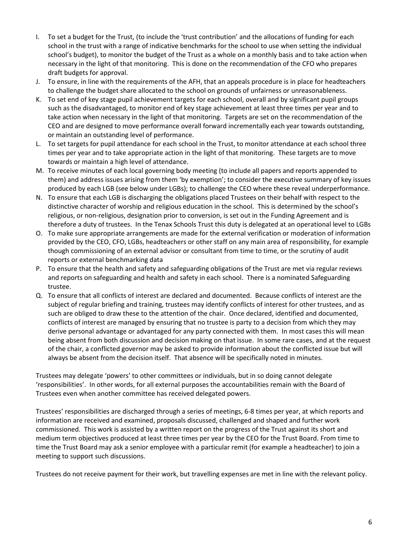- I. To set a budget for the Trust, (to include the 'trust contribution' and the allocations of funding for each school in the trust with a range of indicative benchmarks for the school to use when setting the individual school's budget), to monitor the budget of the Trust as a whole on a monthly basis and to take action when necessary in the light of that monitoring. This is done on the recommendation of the CFO who prepares draft budgets for approval.
- J. To ensure, in line with the requirements of the AFH, that an appeals procedure is in place for headteachers to challenge the budget share allocated to the school on grounds of unfairness or unreasonableness.
- K. To set end of key stage pupil achievement targets for each school, overall and by significant pupil groups such as the disadvantaged, to monitor end of key stage achievement at least three times per year and to take action when necessary in the light of that monitoring. Targets are set on the recommendation of the CEO and are designed to move performance overall forward incrementally each year towards outstanding, or maintain an outstanding level of performance.
- L. To set targets for pupil attendance for each school in the Trust, to monitor attendance at each school three times per year and to take appropriate action in the light of that monitoring. These targets are to move towards or maintain a high level of attendance.
- M. To receive minutes of each local governing body meeting (to include all papers and reports appended to them) and address issues arising from them 'by exemption'; to consider the executive summary of key issues produced by each LGB (see below under LGBs); to challenge the CEO where these reveal underperformance.
- N. To ensure that each LGB is discharging the obligations placed Trustees on their behalf with respect to the distinctive character of worship and religious education in the school. This is determined by the school's religious, or non-religious, designation prior to conversion, is set out in the Funding Agreement and is therefore a duty of trustees. In the Tenax Schools Trust this duty is delegated at an operational level to LGBs
- O. To make sure appropriate arrangements are made for the external verification or moderation of information provided by the CEO, CFO, LGBs, headteachers or other staff on any main area of responsibility, for example though commissioning of an external advisor or consultant from time to time, or the scrutiny of audit reports or external benchmarking data
- P. To ensure that the health and safety and safeguarding obligations of the Trust are met via regular reviews and reports on safeguarding and health and safety in each school. There is a nominated Safeguarding trustee.
- Q. To ensure that all conflicts of interest are declared and documented. Because conflicts of interest are the subject of regular briefing and training, trustees may identify conflicts of interest for other trustees, and as such are obliged to draw these to the attention of the chair. Once declared, identified and documented, conflicts of interest are managed by ensuring that no trustee is party to a decision from which they may derive personal advantage or advantaged for any party connected with them. In most cases this will mean being absent from both discussion and decision making on that issue. In some rare cases, and at the request of the chair, a conflicted governor may be asked to provide information about the conflicted issue but will always be absent from the decision itself. That absence will be specifically noted in minutes.

Trustees may delegate 'powers' to other committees or individuals, but in so doing cannot delegate 'responsibilities'. In other words, for all external purposes the accountabilities remain with the Board of Trustees even when another committee has received delegated powers.

Trustees' responsibilities are discharged through a series of meetings, 6-8 times per year, at which reports and information are received and examined, proposals discussed, challenged and shaped and further work commissioned. This work is assisted by a written report on the progress of the Trust against its short and medium term objectives produced at least three times per year by the CEO for the Trust Board. From time to time the Trust Board may ask a senior employee with a particular remit (for example a headteacher) to join a meeting to support such discussions.

Trustees do not receive payment for their work, but travelling expenses are met in line with the relevant policy.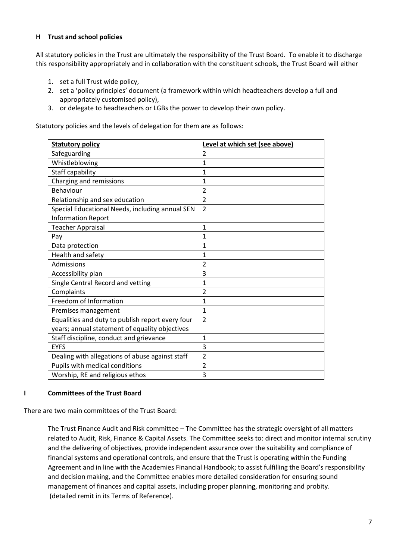#### **H Trust and school policies**

All statutory policies in the Trust are ultimately the responsibility of the Trust Board. To enable it to discharge this responsibility appropriately and in collaboration with the constituent schools, the Trust Board will either

- 1. set a full Trust wide policy,
- 2. set a 'policy principles' document (a framework within which headteachers develop a full and appropriately customised policy),
- 3. or delegate to headteachers or LGBs the power to develop their own policy.

Statutory policies and the levels of delegation for them are as follows:

| <b>Statutory policy</b>                          | Level at which set (see above) |
|--------------------------------------------------|--------------------------------|
| Safeguarding                                     | $\overline{2}$                 |
| Whistleblowing                                   | $\overline{1}$                 |
| Staff capability                                 | $\mathbf{1}$                   |
| Charging and remissions                          | $\mathbf{1}$                   |
| Behaviour                                        | 2                              |
| Relationship and sex education                   | $\overline{2}$                 |
| Special Educational Needs, including annual SEN  | $\overline{2}$                 |
| <b>Information Report</b>                        |                                |
| <b>Teacher Appraisal</b>                         | $\overline{1}$                 |
| Pay                                              | 1                              |
| Data protection                                  | 1                              |
| Health and safety                                | 1                              |
| Admissions                                       | $\overline{2}$                 |
| Accessibility plan                               | 3                              |
| Single Central Record and vetting                | $\mathbf{1}$                   |
| Complaints                                       | $\overline{2}$                 |
| Freedom of Information                           | $\overline{1}$                 |
| Premises management                              | $\mathbf{1}$                   |
| Equalities and duty to publish report every four | $\overline{2}$                 |
| years; annual statement of equality objectives   |                                |
| Staff discipline, conduct and grievance          | 1                              |
| <b>EYFS</b>                                      | 3                              |
| Dealing with allegations of abuse against staff  | $\overline{2}$                 |
| Pupils with medical conditions                   | $\overline{2}$                 |
| Worship, RE and religious ethos                  | 3                              |

#### **I Committees of the Trust Board**

There are two main committees of the Trust Board:

The Trust Finance Audit and Risk committee - The Committee has the strategic oversight of all matters related to Audit, Risk, Finance & Capital Assets. The Committee seeks to: direct and monitor internal scrutiny and the delivering of objectives, provide independent assurance over the suitability and compliance of financial systems and operational controls, and ensure that the Trust is operating within the Funding Agreement and in line with the Academies Financial Handbook; to assist fulfilling the Board's responsibility and decision making, and the Committee enables more detailed consideration for ensuring sound management of finances and capital assets, including proper planning, monitoring and probity. (detailed remit in its Terms of Reference).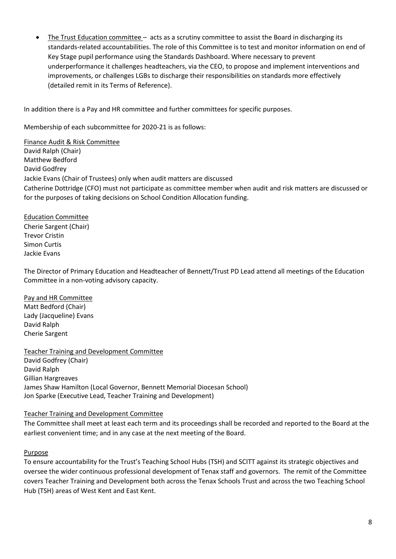• The Trust Education committee – acts as a scrutiny committee to assist the Board in discharging its standards-related accountabilities. The role of this Committee is to test and monitor information on end of Key Stage pupil performance using the Standards Dashboard. Where necessary to prevent underperformance it challenges headteachers, via the CEO, to propose and implement interventions and improvements, or challenges LGBs to discharge their responsibilities on standards more effectively (detailed remit in its Terms of Reference).

In addition there is a Pay and HR committee and further committees for specific purposes.

Membership of each subcommittee for 2020-21 is as follows:

Finance Audit & Risk Committee David Ralph (Chair) Matthew Bedford David Godfrey Jackie Evans (Chair of Trustees) only when audit matters are discussed Catherine Dottridge (CFO) must not participate as committee member when audit and risk matters are discussed or for the purposes of taking decisions on School Condition Allocation funding.

#### Education Committee

Cherie Sargent (Chair) Trevor Cristin Simon Curtis Jackie Evans

The Director of Primary Education and Headteacher of Bennett/Trust PD Lead attend all meetings of the Education Committee in a non-voting advisory capacity.

#### Pay and HR Committee

Matt Bedford (Chair) Lady (Jacqueline) Evans David Ralph Cherie Sargent

Teacher Training and Development Committee David Godfrey (Chair) David Ralph Gillian Hargreaves James Shaw Hamilton (Local Governor, Bennett Memorial Diocesan School) Jon Sparke (Executive Lead, Teacher Training and Development)

#### Teacher Training and Development Committee

The Committee shall meet at least each term and its proceedings shall be recorded and reported to the Board at the earliest convenient time; and in any case at the next meeting of the Board.

#### Purpose

To ensure accountability for the Trust's Teaching School Hubs (TSH) and SCITT against its strategic objectives and oversee the wider continuous professional development of Tenax staff and governors. The remit of the Committee covers Teacher Training and Development both across the Tenax Schools Trust and across the two Teaching School Hub (TSH) areas of West Kent and East Kent.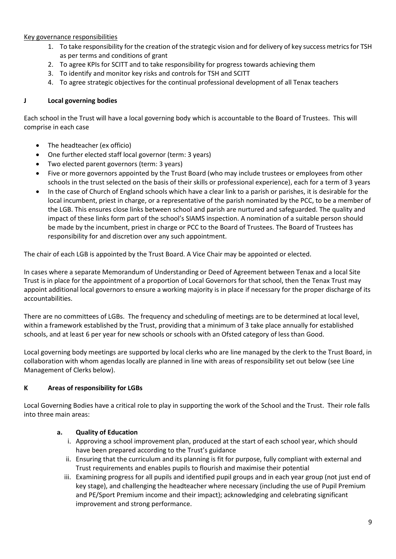#### Key governance responsibilities

- 1. To take responsibility for the creation of the strategic vision and for delivery of key success metrics for TSH as per terms and conditions of grant
- 2. To agree KPIs for SCITT and to take responsibility for progress towards achieving them
- 3. To identify and monitor key risks and controls for TSH and SCITT
- 4. To agree strategic objectives for the continual professional development of all Tenax teachers

## **J Local governing bodies**

Each school in the Trust will have a local governing body which is accountable to the Board of Trustees. This will comprise in each case

- The headteacher (ex officio)
- One further elected staff local governor (term: 3 years)
- Two elected parent governors (term: 3 years)
- Five or more governors appointed by the Trust Board (who may include trustees or employees from other schools in the trust selected on the basis of their skills or professional experience), each for a term of 3 years
- In the case of Church of England schools which have a clear link to a parish or parishes, it is desirable for the local incumbent, priest in charge, or a representative of the parish nominated by the PCC, to be a member of the LGB. This ensures close links between school and parish are nurtured and safeguarded. The quality and impact of these links form part of the school's SIAMS inspection. A nomination of a suitable person should be made by the incumbent, priest in charge or PCC to the Board of Trustees. The Board of Trustees has responsibility for and discretion over any such appointment.

The chair of each LGB is appointed by the Trust Board. A Vice Chair may be appointed or elected.

In cases where a separate Memorandum of Understanding or Deed of Agreement between Tenax and a local Site Trust is in place for the appointment of a proportion of Local Governors for that school, then the Tenax Trust may appoint additional local governors to ensure a working majority is in place if necessary for the proper discharge of its accountabilities.

There are no committees of LGBs. The frequency and scheduling of meetings are to be determined at local level, within a framework established by the Trust, providing that a minimum of 3 take place annually for established schools, and at least 6 per year for new schools or schools with an Ofsted category of less than Good.

Local governing body meetings are supported by local clerks who are line managed by the clerk to the Trust Board, in collaboration with whom agendas locally are planned in line with areas of responsibility set out below (see Line Management of Clerks below).

#### **K Areas of responsibility for LGBs**

Local Governing Bodies have a critical role to play in supporting the work of the School and the Trust. Their role falls into three main areas:

#### **a. Quality of Education**

- i. Approving a school improvement plan, produced at the start of each school year, which should have been prepared according to the Trust's guidance
- ii. Ensuring that the curriculum and its planning is fit for purpose, fully compliant with external and Trust requirements and enables pupils to flourish and maximise their potential
- iii. Examining progress for all pupils and identified pupil groups and in each year group (not just end of key stage), and challenging the headteacher where necessary (including the use of Pupil Premium and PE/Sport Premium income and their impact); acknowledging and celebrating significant improvement and strong performance.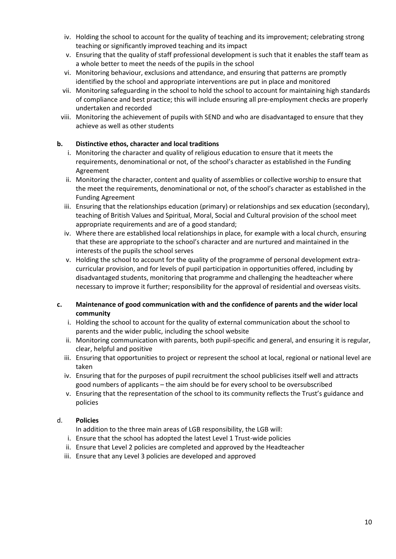- iv. Holding the school to account for the quality of teaching and its improvement; celebrating strong teaching or significantly improved teaching and its impact
- v. Ensuring that the quality of staff professional development is such that it enables the staff team as a whole better to meet the needs of the pupils in the school
- vi. Monitoring behaviour, exclusions and attendance, and ensuring that patterns are promptly identified by the school and appropriate interventions are put in place and monitored
- vii. Monitoring safeguarding in the school to hold the school to account for maintaining high standards of compliance and best practice; this will include ensuring all pre-employment checks are properly undertaken and recorded
- viii. Monitoring the achievement of pupils with SEND and who are disadvantaged to ensure that they achieve as well as other students

#### **b. Distinctive ethos, character and local traditions**

- i. Monitoring the character and quality of religious education to ensure that it meets the requirements, denominational or not, of the school's character as established in the Funding Agreement
- ii. Monitoring the character, content and quality of assemblies or collective worship to ensure that the meet the requirements, denominational or not, of the school's character as established in the Funding Agreement
- iii. Ensuring that the relationships education (primary) or relationships and sex education (secondary), teaching of British Values and Spiritual, Moral, Social and Cultural provision of the school meet appropriate requirements and are of a good standard;
- iv. Where there are established local relationships in place, for example with a local church, ensuring that these are appropriate to the school's character and are nurtured and maintained in the interests of the pupils the school serves
- v. Holding the school to account for the quality of the programme of personal development extracurricular provision, and for levels of pupil participation in opportunities offered, including by disadvantaged students, monitoring that programme and challenging the headteacher where necessary to improve it further; responsibility for the approval of residential and overseas visits.
- **c. Maintenance of good communication with and the confidence of parents and the wider local community**
	- i. Holding the school to account for the quality of external communication about the school to parents and the wider public, including the school website
	- ii. Monitoring communication with parents, both pupil-specific and general, and ensuring it is regular, clear, helpful and positive
	- iii. Ensuring that opportunities to project or represent the school at local, regional or national level are taken
	- iv. Ensuring that for the purposes of pupil recruitment the school publicises itself well and attracts good numbers of applicants – the aim should be for every school to be oversubscribed
	- v. Ensuring that the representation of the school to its community reflects the Trust's guidance and policies

#### d. **Policies**

In addition to the three main areas of LGB responsibility, the LGB will:

- i. Ensure that the school has adopted the latest Level 1 Trust-wide policies
- ii. Ensure that Level 2 policies are completed and approved by the Headteacher
- iii. Ensure that any Level 3 policies are developed and approved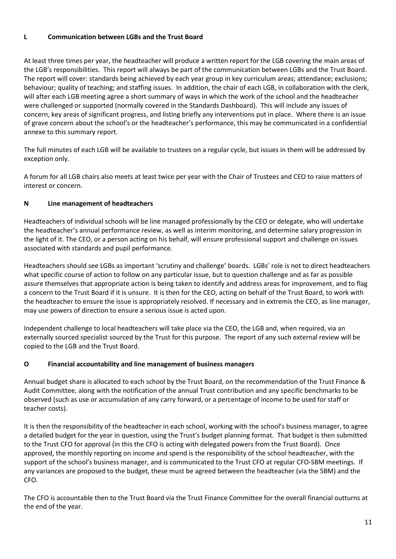#### **L Communication between LGBs and the Trust Board**

At least three times per year, the headteacher will produce a written report for the LGB covering the main areas of the LGB's responsibilities. This report will always be part of the communication between LGBs and the Trust Board. The report will cover: standards being achieved by each year group in key curriculum areas; attendance; exclusions; behaviour; quality of teaching; and staffing issues. In addition, the chair of each LGB, in collaboration with the clerk, will after each LGB meeting agree a short summary of ways in which the work of the school and the headteacher were challenged or supported (normally covered in the Standards Dashboard). This will include any issues of concern, key areas of significant progress, and listing briefly any interventions put in place. Where there is an issue of grave concern about the school's or the headteacher's performance, this may be communicated in a confidential annexe to this summary report.

The full minutes of each LGB will be available to trustees on a regular cycle, but issues in them will be addressed by exception only.

A forum for all LGB chairs also meets at least twice per year with the Chair of Trustees and CEO to raise matters of interest or concern.

## **N Line management of headteachers**

Headteachers of individual schools will be line managed professionally by the CEO or delegate, who will undertake the headteacher's annual performance review, as well as interim monitoring, and determine salary progression in the light of it. The CEO, or a person acting on his behalf, will ensure professional support and challenge on issues associated with standards and pupil performance.

Headteachers should see LGBs as important 'scrutiny and challenge' boards. LGBs' role is not to direct headteachers what specific course of action to follow on any particular issue, but to question challenge and as far as possible assure themselves that appropriate action is being taken to identify and address areas for improvement, and to flag a concern to the Trust Board if it is unsure. It is then for the CEO, acting on behalf of the Trust Board, to work with the headteacher to ensure the issue is appropriately resolved. If necessary and in extremis the CEO, as line manager, may use powers of direction to ensure a serious issue is acted upon.

Independent challenge to local headteachers will take place via the CEO, the LGB and, when required, via an externally sourced specialist sourced by the Trust for this purpose. The report of any such external review will be copied to the LGB and the Trust Board.

#### **O Financial accountability and line management of business managers**

Annual budget share is allocated to each school by the Trust Board, on the recommendation of the Trust Finance & Audit Committee, along with the notification of the annual Trust contribution and any specific benchmarks to be observed (such as use or accumulation of any carry forward, or a percentage of income to be used for staff or teacher costs).

It is then the responsibility of the headteacher in each school, working with the school's business manager, to agree a detailed budget for the year in question, using the Trust's budget planning format. That budget is then submitted to the Trust CFO for approval (in this the CFO is acting with delegated powers from the Trust Board). Once approved, the monthly reporting on income and spend is the responsibility of the school headteacher, with the support of the school's business manager, and is communicated to the Trust CFO at regular CFO-SBM meetings. If any variances are proposed to the budget, these must be agreed between the headteacher (via the SBM) and the CFO.

The CFO is accountable then to the Trust Board via the Trust Finance Committee for the overall financial outturns at the end of the year.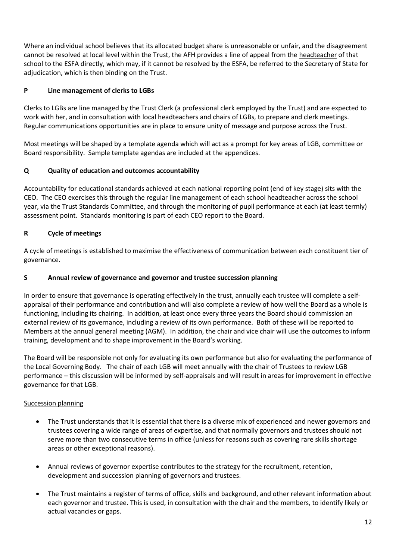Where an individual school believes that its allocated budget share is unreasonable or unfair, and the disagreement cannot be resolved at local level within the Trust, the AFH provides a line of appeal from the headteacher of that school to the ESFA directly, which may, if it cannot be resolved by the ESFA, be referred to the Secretary of State for adjudication, which is then binding on the Trust.

## **P Line management of clerks to LGBs**

Clerks to LGBs are line managed by the Trust Clerk (a professional clerk employed by the Trust) and are expected to work with her, and in consultation with local headteachers and chairs of LGBs, to prepare and clerk meetings. Regular communications opportunities are in place to ensure unity of message and purpose across the Trust.

Most meetings will be shaped by a template agenda which will act as a prompt for key areas of LGB, committee or Board responsibility. Sample template agendas are included at the appendices.

## **Q Quality of education and outcomes accountability**

Accountability for educational standards achieved at each national reporting point (end of key stage) sits with the CEO. The CEO exercises this through the regular line management of each school headteacher across the school year, via the Trust Standards Committee, and through the monitoring of pupil performance at each (at least termly) assessment point. Standards monitoring is part of each CEO report to the Board.

## **R Cycle of meetings**

A cycle of meetings is established to maximise the effectiveness of communication between each constituent tier of governance.

#### **S Annual review of governance and governor and trustee succession planning**

In order to ensure that governance is operating effectively in the trust, annually each trustee will complete a selfappraisal of their performance and contribution and will also complete a review of how well the Board as a whole is functioning, including its chairing. In addition, at least once every three years the Board should commission an external review of its governance, including a review of its own performance. Both of these will be reported to Members at the annual general meeting (AGM). In addition, the chair and vice chair will use the outcomes to inform training, development and to shape improvement in the Board's working.

The Board will be responsible not only for evaluating its own performance but also for evaluating the performance of the Local Governing Body. The chair of each LGB will meet annually with the chair of Trustees to review LGB performance – this discussion will be informed by self-appraisals and will result in areas for improvement in effective governance for that LGB.

#### Succession planning

- The Trust understands that it is essential that there is a diverse mix of experienced and newer governors and trustees covering a wide range of areas of expertise, and that normally governors and trustees should not serve more than two consecutive terms in office (unless for reasons such as covering rare skills shortage areas or other exceptional reasons).
- Annual reviews of governor expertise contributes to the strategy for the recruitment, retention, development and succession planning of governors and trustees.
- The Trust maintains a register of terms of office, skills and background, and other relevant information about each governor and trustee. This is used, in consultation with the chair and the members, to identify likely or actual vacancies or gaps.